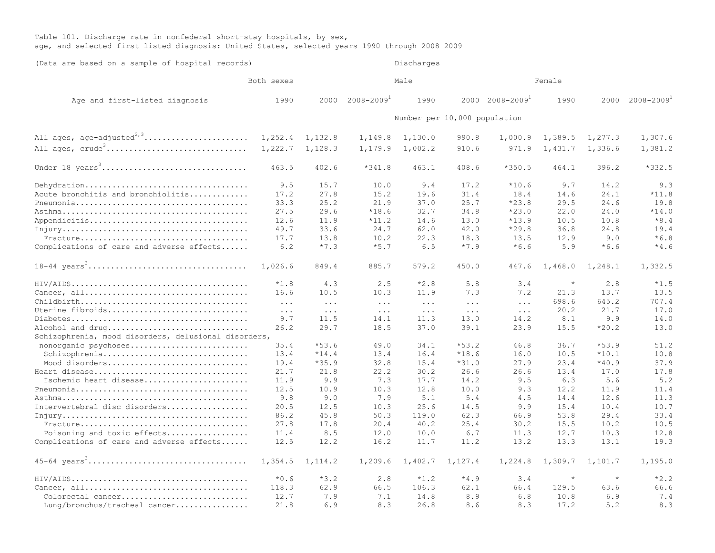## Table 101. Discharge rate in nonfederal short-stay hospitals, by sex, age, and selected first-listed diagnosis: United States, selected years 1990 through 2008-2009

| Both sexes<br>Male<br>Female<br>$2008 - 2009$ <sup>+</sup><br>$2000 \quad 2008 - 2009$ <sup>1</sup><br>$2008 - 2009$ <sup>1</sup><br>1990<br>Age and first-listed diagnosis<br>1990<br>2000<br>1990<br>2000<br>Number per 10,000 population<br>All ages, age-adjusted <sup>2,3</sup><br>1,252.4<br>1,307.6<br>1,132.8<br>1,130.0<br>990.8<br>1,000.9<br>1,389.5<br>1,277.3<br>1,149.8<br>All ages, crude <sup>3</sup><br>1,222.7<br>1,128.3<br>1,381.2<br>1,179.9<br>1,002.2<br>971.9<br>1,431.7<br>1,336.6<br>910.6<br>Under 18 years <sup>3</sup><br>463.5<br>402.6<br>$*341.8$<br>463.1<br>408.6<br>$*350.5$<br>464.1<br>396.2<br>$*332.5$<br>Dehydration<br>9.5<br>15.7<br>10.0<br>9.4<br>17.2<br>$*10.6$<br>9.7<br>14.2<br>9.3<br>Acute bronchitis and bronchiolitis<br>27.8<br>31.4<br>14.6<br>24.1<br>$*11.8$<br>17.2<br>15.2<br>19.6<br>18.4<br>19.8<br>33.3<br>25.2<br>21.9<br>37.0<br>25.7<br>$*23.8$<br>29.5<br>24.6<br>29.6<br>34.8<br>24.0<br>$*14.0$<br>27.5<br>$*18.6$<br>32.7<br>$*23.0$<br>22.0<br>$*8.4$<br>$*13.9$<br>12.6<br>11.9<br>$*11.2$<br>14.6<br>13.0<br>10.5<br>10.8<br>33.6<br>49.7<br>24.7<br>62.0<br>42.0<br>$*29.8$<br>36.8<br>24.8<br>19.4<br>$*6.8$<br>13.8<br>10.2<br>22.3<br>18.3<br>13.5<br>12.9<br>9.0<br>17.7<br>Complications of care and adverse effects<br>$*7.3$<br>$*5.7$<br>$*7.9$<br>$*6.6$<br>5.9<br>$*6.6$<br>$*4.6$<br>6.2<br>6.5<br>1,026.6<br>849.4<br>885.7<br>579.2<br>450.0<br>447.6<br>1,468.0<br>1,248.1<br>1,332.5<br>$\star$<br>$*1.8$<br>4.3<br>2.5<br>$*2.8$<br>5.8<br>2.8<br>$*1.5$<br>3.4<br>7.3<br>7.2<br>13.5<br>16.6<br>10.5<br>10.3<br>11.9<br>21.3<br>13.7<br>707.4<br>698.6<br>645.2<br>$\ddots$<br>$\cdot$<br>$\ddots$<br>$\ddots$<br>$\ddots$<br>$\ddots$<br>17.0<br>Uterine fibroids<br>20.2<br>21.7<br>$\ddots$<br>$\ddots$<br>$\ddotsc$<br>$\cdots$<br>$\ddots$<br>$\ddots$<br>9.9<br>14.0<br>9.7<br>11.5<br>14.1<br>11.3<br>13.0<br>14.2<br>8.1<br>29.7<br>$*20.2$<br>Alcohol and drug<br>26.2<br>18.5<br>37.0<br>39.1<br>23.9<br>15.5<br>13.0<br>Schizophrenia, mood disorders, delusional disorders,<br>$*53.6$<br>36.7<br>$*53.9$<br>51.2<br>nonorganic psychoses<br>35.4<br>49.0<br>34.1<br>$*53.2$<br>46.8<br>Schizophrenia<br>13.4<br>$*14.4$<br>13.4<br>$*18.6$<br>16.0<br>10.5<br>$*10.1$<br>10.8<br>16.4<br>Mood disorders<br>$*35.9$<br>32.8<br>$*31.0$<br>27.9<br>23.4<br>$*40.9$<br>37.9<br>19.4<br>15.4<br>21.7<br>21.8<br>22.2<br>30.2<br>26.6<br>26.6<br>13.4<br>17.0<br>17.8<br>Ischemic heart disease<br>9.9<br>14.2<br>6.3<br>5.6<br>5.2<br>11.9<br>7.3<br>17.7<br>9.5<br>12.8<br>10.0<br>9.3<br>11.9<br>12.5<br>10.9<br>10.3<br>12.2<br>11.4<br>9.8<br>5.4<br>4.5<br>12.6<br>11.3<br>9.0<br>7.9<br>5.1<br>14.4<br>Intervertebral disc disorders<br>9.9<br>10.4<br>10.7<br>20.5<br>12.5<br>10.3<br>25.6<br>14.5<br>15.4<br>86.2<br>45.8<br>50.3<br>119.0<br>62.3<br>66.9<br>53.8<br>29.4<br>33.4<br>17.8<br>20.4<br>25.4<br>10.2<br>10.5<br>27.8<br>40.2<br>30.2<br>15.5<br>Poisoning and toxic effects<br>11.4<br>8.5<br>12.0<br>10.0<br>6.7<br>11.3<br>12.7<br>10.3<br>12.8<br>Complications of care and adverse effects<br>12.5<br>12.2<br>16.2<br>11.7<br>11.2<br>13.2<br>13.3<br>13.1<br>19.3<br>1,224.8<br>1,354.5<br>1, 114.2<br>1,209.6<br>1,402.7<br>1,127.4<br>1,309.7<br>1,101.7<br>1,195.0<br>$\star$<br>$*2.2$<br>$*0.6$<br>$*3.2$<br>$*4.9$<br>$\star$<br>2.8<br>$*1.2$<br>3.4<br>63.6<br>66.6<br>118.3<br>62.9<br>66.5<br>106.3<br>62.1<br>66.4<br>129.5<br>8.9<br>7.4<br>Colorectal cancer<br>12.7<br>7.9<br>7.1<br>14.8<br>6.8<br>10.8<br>6.9<br>8.3<br>21.8<br>6.9<br>8.3<br>8.6<br>8.3<br>17.2<br>5.2<br>Lung/bronchus/tracheal cancer<br>26.8 | (Data are based on a sample of hospital records) | Discharges |  |  |  |  |  |  |  |  |  |
|---------------------------------------------------------------------------------------------------------------------------------------------------------------------------------------------------------------------------------------------------------------------------------------------------------------------------------------------------------------------------------------------------------------------------------------------------------------------------------------------------------------------------------------------------------------------------------------------------------------------------------------------------------------------------------------------------------------------------------------------------------------------------------------------------------------------------------------------------------------------------------------------------------------------------------------------------------------------------------------------------------------------------------------------------------------------------------------------------------------------------------------------------------------------------------------------------------------------------------------------------------------------------------------------------------------------------------------------------------------------------------------------------------------------------------------------------------------------------------------------------------------------------------------------------------------------------------------------------------------------------------------------------------------------------------------------------------------------------------------------------------------------------------------------------------------------------------------------------------------------------------------------------------------------------------------------------------------------------------------------------------------------------------------------------------------------------------------------------------------------------------------------------------------------------------------------------------------------------------------------------------------------------------------------------------------------------------------------------------------------------------------------------------------------------------------------------------------------------------------------------------------------------------------------------------------------------------------------------------------------------------------------------------------------------------------------------------------------------------------------------------------------------------------------------------------------------------------------------------------------------------------------------------------------------------------------------------------------------------------------------------------------------------------------------------------------------------------------------------------------------------------------------------------------------------------------------------------------------------------------------------------------------------------------------------------------------------------------------------------------------------------------------------------------------------------------------------------------------------------------------------------------------------------------------------------------------------------------------------------------------------------------------------------|--------------------------------------------------|------------|--|--|--|--|--|--|--|--|--|
|                                                                                                                                                                                                                                                                                                                                                                                                                                                                                                                                                                                                                                                                                                                                                                                                                                                                                                                                                                                                                                                                                                                                                                                                                                                                                                                                                                                                                                                                                                                                                                                                                                                                                                                                                                                                                                                                                                                                                                                                                                                                                                                                                                                                                                                                                                                                                                                                                                                                                                                                                                                                                                                                                                                                                                                                                                                                                                                                                                                                                                                                                                                                                                                                                                                                                                                                                                                                                                                                                                                                                                                                                                                               |                                                  |            |  |  |  |  |  |  |  |  |  |
|                                                                                                                                                                                                                                                                                                                                                                                                                                                                                                                                                                                                                                                                                                                                                                                                                                                                                                                                                                                                                                                                                                                                                                                                                                                                                                                                                                                                                                                                                                                                                                                                                                                                                                                                                                                                                                                                                                                                                                                                                                                                                                                                                                                                                                                                                                                                                                                                                                                                                                                                                                                                                                                                                                                                                                                                                                                                                                                                                                                                                                                                                                                                                                                                                                                                                                                                                                                                                                                                                                                                                                                                                                                               |                                                  |            |  |  |  |  |  |  |  |  |  |
|                                                                                                                                                                                                                                                                                                                                                                                                                                                                                                                                                                                                                                                                                                                                                                                                                                                                                                                                                                                                                                                                                                                                                                                                                                                                                                                                                                                                                                                                                                                                                                                                                                                                                                                                                                                                                                                                                                                                                                                                                                                                                                                                                                                                                                                                                                                                                                                                                                                                                                                                                                                                                                                                                                                                                                                                                                                                                                                                                                                                                                                                                                                                                                                                                                                                                                                                                                                                                                                                                                                                                                                                                                                               |                                                  |            |  |  |  |  |  |  |  |  |  |
|                                                                                                                                                                                                                                                                                                                                                                                                                                                                                                                                                                                                                                                                                                                                                                                                                                                                                                                                                                                                                                                                                                                                                                                                                                                                                                                                                                                                                                                                                                                                                                                                                                                                                                                                                                                                                                                                                                                                                                                                                                                                                                                                                                                                                                                                                                                                                                                                                                                                                                                                                                                                                                                                                                                                                                                                                                                                                                                                                                                                                                                                                                                                                                                                                                                                                                                                                                                                                                                                                                                                                                                                                                                               |                                                  |            |  |  |  |  |  |  |  |  |  |
|                                                                                                                                                                                                                                                                                                                                                                                                                                                                                                                                                                                                                                                                                                                                                                                                                                                                                                                                                                                                                                                                                                                                                                                                                                                                                                                                                                                                                                                                                                                                                                                                                                                                                                                                                                                                                                                                                                                                                                                                                                                                                                                                                                                                                                                                                                                                                                                                                                                                                                                                                                                                                                                                                                                                                                                                                                                                                                                                                                                                                                                                                                                                                                                                                                                                                                                                                                                                                                                                                                                                                                                                                                                               |                                                  |            |  |  |  |  |  |  |  |  |  |
|                                                                                                                                                                                                                                                                                                                                                                                                                                                                                                                                                                                                                                                                                                                                                                                                                                                                                                                                                                                                                                                                                                                                                                                                                                                                                                                                                                                                                                                                                                                                                                                                                                                                                                                                                                                                                                                                                                                                                                                                                                                                                                                                                                                                                                                                                                                                                                                                                                                                                                                                                                                                                                                                                                                                                                                                                                                                                                                                                                                                                                                                                                                                                                                                                                                                                                                                                                                                                                                                                                                                                                                                                                                               |                                                  |            |  |  |  |  |  |  |  |  |  |
|                                                                                                                                                                                                                                                                                                                                                                                                                                                                                                                                                                                                                                                                                                                                                                                                                                                                                                                                                                                                                                                                                                                                                                                                                                                                                                                                                                                                                                                                                                                                                                                                                                                                                                                                                                                                                                                                                                                                                                                                                                                                                                                                                                                                                                                                                                                                                                                                                                                                                                                                                                                                                                                                                                                                                                                                                                                                                                                                                                                                                                                                                                                                                                                                                                                                                                                                                                                                                                                                                                                                                                                                                                                               |                                                  |            |  |  |  |  |  |  |  |  |  |
|                                                                                                                                                                                                                                                                                                                                                                                                                                                                                                                                                                                                                                                                                                                                                                                                                                                                                                                                                                                                                                                                                                                                                                                                                                                                                                                                                                                                                                                                                                                                                                                                                                                                                                                                                                                                                                                                                                                                                                                                                                                                                                                                                                                                                                                                                                                                                                                                                                                                                                                                                                                                                                                                                                                                                                                                                                                                                                                                                                                                                                                                                                                                                                                                                                                                                                                                                                                                                                                                                                                                                                                                                                                               |                                                  |            |  |  |  |  |  |  |  |  |  |
|                                                                                                                                                                                                                                                                                                                                                                                                                                                                                                                                                                                                                                                                                                                                                                                                                                                                                                                                                                                                                                                                                                                                                                                                                                                                                                                                                                                                                                                                                                                                                                                                                                                                                                                                                                                                                                                                                                                                                                                                                                                                                                                                                                                                                                                                                                                                                                                                                                                                                                                                                                                                                                                                                                                                                                                                                                                                                                                                                                                                                                                                                                                                                                                                                                                                                                                                                                                                                                                                                                                                                                                                                                                               |                                                  |            |  |  |  |  |  |  |  |  |  |
|                                                                                                                                                                                                                                                                                                                                                                                                                                                                                                                                                                                                                                                                                                                                                                                                                                                                                                                                                                                                                                                                                                                                                                                                                                                                                                                                                                                                                                                                                                                                                                                                                                                                                                                                                                                                                                                                                                                                                                                                                                                                                                                                                                                                                                                                                                                                                                                                                                                                                                                                                                                                                                                                                                                                                                                                                                                                                                                                                                                                                                                                                                                                                                                                                                                                                                                                                                                                                                                                                                                                                                                                                                                               |                                                  |            |  |  |  |  |  |  |  |  |  |
|                                                                                                                                                                                                                                                                                                                                                                                                                                                                                                                                                                                                                                                                                                                                                                                                                                                                                                                                                                                                                                                                                                                                                                                                                                                                                                                                                                                                                                                                                                                                                                                                                                                                                                                                                                                                                                                                                                                                                                                                                                                                                                                                                                                                                                                                                                                                                                                                                                                                                                                                                                                                                                                                                                                                                                                                                                                                                                                                                                                                                                                                                                                                                                                                                                                                                                                                                                                                                                                                                                                                                                                                                                                               |                                                  |            |  |  |  |  |  |  |  |  |  |
|                                                                                                                                                                                                                                                                                                                                                                                                                                                                                                                                                                                                                                                                                                                                                                                                                                                                                                                                                                                                                                                                                                                                                                                                                                                                                                                                                                                                                                                                                                                                                                                                                                                                                                                                                                                                                                                                                                                                                                                                                                                                                                                                                                                                                                                                                                                                                                                                                                                                                                                                                                                                                                                                                                                                                                                                                                                                                                                                                                                                                                                                                                                                                                                                                                                                                                                                                                                                                                                                                                                                                                                                                                                               |                                                  |            |  |  |  |  |  |  |  |  |  |
|                                                                                                                                                                                                                                                                                                                                                                                                                                                                                                                                                                                                                                                                                                                                                                                                                                                                                                                                                                                                                                                                                                                                                                                                                                                                                                                                                                                                                                                                                                                                                                                                                                                                                                                                                                                                                                                                                                                                                                                                                                                                                                                                                                                                                                                                                                                                                                                                                                                                                                                                                                                                                                                                                                                                                                                                                                                                                                                                                                                                                                                                                                                                                                                                                                                                                                                                                                                                                                                                                                                                                                                                                                                               |                                                  |            |  |  |  |  |  |  |  |  |  |
|                                                                                                                                                                                                                                                                                                                                                                                                                                                                                                                                                                                                                                                                                                                                                                                                                                                                                                                                                                                                                                                                                                                                                                                                                                                                                                                                                                                                                                                                                                                                                                                                                                                                                                                                                                                                                                                                                                                                                                                                                                                                                                                                                                                                                                                                                                                                                                                                                                                                                                                                                                                                                                                                                                                                                                                                                                                                                                                                                                                                                                                                                                                                                                                                                                                                                                                                                                                                                                                                                                                                                                                                                                                               |                                                  |            |  |  |  |  |  |  |  |  |  |
|                                                                                                                                                                                                                                                                                                                                                                                                                                                                                                                                                                                                                                                                                                                                                                                                                                                                                                                                                                                                                                                                                                                                                                                                                                                                                                                                                                                                                                                                                                                                                                                                                                                                                                                                                                                                                                                                                                                                                                                                                                                                                                                                                                                                                                                                                                                                                                                                                                                                                                                                                                                                                                                                                                                                                                                                                                                                                                                                                                                                                                                                                                                                                                                                                                                                                                                                                                                                                                                                                                                                                                                                                                                               |                                                  |            |  |  |  |  |  |  |  |  |  |
|                                                                                                                                                                                                                                                                                                                                                                                                                                                                                                                                                                                                                                                                                                                                                                                                                                                                                                                                                                                                                                                                                                                                                                                                                                                                                                                                                                                                                                                                                                                                                                                                                                                                                                                                                                                                                                                                                                                                                                                                                                                                                                                                                                                                                                                                                                                                                                                                                                                                                                                                                                                                                                                                                                                                                                                                                                                                                                                                                                                                                                                                                                                                                                                                                                                                                                                                                                                                                                                                                                                                                                                                                                                               |                                                  |            |  |  |  |  |  |  |  |  |  |
|                                                                                                                                                                                                                                                                                                                                                                                                                                                                                                                                                                                                                                                                                                                                                                                                                                                                                                                                                                                                                                                                                                                                                                                                                                                                                                                                                                                                                                                                                                                                                                                                                                                                                                                                                                                                                                                                                                                                                                                                                                                                                                                                                                                                                                                                                                                                                                                                                                                                                                                                                                                                                                                                                                                                                                                                                                                                                                                                                                                                                                                                                                                                                                                                                                                                                                                                                                                                                                                                                                                                                                                                                                                               |                                                  |            |  |  |  |  |  |  |  |  |  |
|                                                                                                                                                                                                                                                                                                                                                                                                                                                                                                                                                                                                                                                                                                                                                                                                                                                                                                                                                                                                                                                                                                                                                                                                                                                                                                                                                                                                                                                                                                                                                                                                                                                                                                                                                                                                                                                                                                                                                                                                                                                                                                                                                                                                                                                                                                                                                                                                                                                                                                                                                                                                                                                                                                                                                                                                                                                                                                                                                                                                                                                                                                                                                                                                                                                                                                                                                                                                                                                                                                                                                                                                                                                               |                                                  |            |  |  |  |  |  |  |  |  |  |
|                                                                                                                                                                                                                                                                                                                                                                                                                                                                                                                                                                                                                                                                                                                                                                                                                                                                                                                                                                                                                                                                                                                                                                                                                                                                                                                                                                                                                                                                                                                                                                                                                                                                                                                                                                                                                                                                                                                                                                                                                                                                                                                                                                                                                                                                                                                                                                                                                                                                                                                                                                                                                                                                                                                                                                                                                                                                                                                                                                                                                                                                                                                                                                                                                                                                                                                                                                                                                                                                                                                                                                                                                                                               |                                                  |            |  |  |  |  |  |  |  |  |  |
|                                                                                                                                                                                                                                                                                                                                                                                                                                                                                                                                                                                                                                                                                                                                                                                                                                                                                                                                                                                                                                                                                                                                                                                                                                                                                                                                                                                                                                                                                                                                                                                                                                                                                                                                                                                                                                                                                                                                                                                                                                                                                                                                                                                                                                                                                                                                                                                                                                                                                                                                                                                                                                                                                                                                                                                                                                                                                                                                                                                                                                                                                                                                                                                                                                                                                                                                                                                                                                                                                                                                                                                                                                                               |                                                  |            |  |  |  |  |  |  |  |  |  |
|                                                                                                                                                                                                                                                                                                                                                                                                                                                                                                                                                                                                                                                                                                                                                                                                                                                                                                                                                                                                                                                                                                                                                                                                                                                                                                                                                                                                                                                                                                                                                                                                                                                                                                                                                                                                                                                                                                                                                                                                                                                                                                                                                                                                                                                                                                                                                                                                                                                                                                                                                                                                                                                                                                                                                                                                                                                                                                                                                                                                                                                                                                                                                                                                                                                                                                                                                                                                                                                                                                                                                                                                                                                               |                                                  |            |  |  |  |  |  |  |  |  |  |
|                                                                                                                                                                                                                                                                                                                                                                                                                                                                                                                                                                                                                                                                                                                                                                                                                                                                                                                                                                                                                                                                                                                                                                                                                                                                                                                                                                                                                                                                                                                                                                                                                                                                                                                                                                                                                                                                                                                                                                                                                                                                                                                                                                                                                                                                                                                                                                                                                                                                                                                                                                                                                                                                                                                                                                                                                                                                                                                                                                                                                                                                                                                                                                                                                                                                                                                                                                                                                                                                                                                                                                                                                                                               |                                                  |            |  |  |  |  |  |  |  |  |  |
|                                                                                                                                                                                                                                                                                                                                                                                                                                                                                                                                                                                                                                                                                                                                                                                                                                                                                                                                                                                                                                                                                                                                                                                                                                                                                                                                                                                                                                                                                                                                                                                                                                                                                                                                                                                                                                                                                                                                                                                                                                                                                                                                                                                                                                                                                                                                                                                                                                                                                                                                                                                                                                                                                                                                                                                                                                                                                                                                                                                                                                                                                                                                                                                                                                                                                                                                                                                                                                                                                                                                                                                                                                                               |                                                  |            |  |  |  |  |  |  |  |  |  |
|                                                                                                                                                                                                                                                                                                                                                                                                                                                                                                                                                                                                                                                                                                                                                                                                                                                                                                                                                                                                                                                                                                                                                                                                                                                                                                                                                                                                                                                                                                                                                                                                                                                                                                                                                                                                                                                                                                                                                                                                                                                                                                                                                                                                                                                                                                                                                                                                                                                                                                                                                                                                                                                                                                                                                                                                                                                                                                                                                                                                                                                                                                                                                                                                                                                                                                                                                                                                                                                                                                                                                                                                                                                               |                                                  |            |  |  |  |  |  |  |  |  |  |
|                                                                                                                                                                                                                                                                                                                                                                                                                                                                                                                                                                                                                                                                                                                                                                                                                                                                                                                                                                                                                                                                                                                                                                                                                                                                                                                                                                                                                                                                                                                                                                                                                                                                                                                                                                                                                                                                                                                                                                                                                                                                                                                                                                                                                                                                                                                                                                                                                                                                                                                                                                                                                                                                                                                                                                                                                                                                                                                                                                                                                                                                                                                                                                                                                                                                                                                                                                                                                                                                                                                                                                                                                                                               |                                                  |            |  |  |  |  |  |  |  |  |  |
|                                                                                                                                                                                                                                                                                                                                                                                                                                                                                                                                                                                                                                                                                                                                                                                                                                                                                                                                                                                                                                                                                                                                                                                                                                                                                                                                                                                                                                                                                                                                                                                                                                                                                                                                                                                                                                                                                                                                                                                                                                                                                                                                                                                                                                                                                                                                                                                                                                                                                                                                                                                                                                                                                                                                                                                                                                                                                                                                                                                                                                                                                                                                                                                                                                                                                                                                                                                                                                                                                                                                                                                                                                                               |                                                  |            |  |  |  |  |  |  |  |  |  |
|                                                                                                                                                                                                                                                                                                                                                                                                                                                                                                                                                                                                                                                                                                                                                                                                                                                                                                                                                                                                                                                                                                                                                                                                                                                                                                                                                                                                                                                                                                                                                                                                                                                                                                                                                                                                                                                                                                                                                                                                                                                                                                                                                                                                                                                                                                                                                                                                                                                                                                                                                                                                                                                                                                                                                                                                                                                                                                                                                                                                                                                                                                                                                                                                                                                                                                                                                                                                                                                                                                                                                                                                                                                               |                                                  |            |  |  |  |  |  |  |  |  |  |
|                                                                                                                                                                                                                                                                                                                                                                                                                                                                                                                                                                                                                                                                                                                                                                                                                                                                                                                                                                                                                                                                                                                                                                                                                                                                                                                                                                                                                                                                                                                                                                                                                                                                                                                                                                                                                                                                                                                                                                                                                                                                                                                                                                                                                                                                                                                                                                                                                                                                                                                                                                                                                                                                                                                                                                                                                                                                                                                                                                                                                                                                                                                                                                                                                                                                                                                                                                                                                                                                                                                                                                                                                                                               |                                                  |            |  |  |  |  |  |  |  |  |  |
|                                                                                                                                                                                                                                                                                                                                                                                                                                                                                                                                                                                                                                                                                                                                                                                                                                                                                                                                                                                                                                                                                                                                                                                                                                                                                                                                                                                                                                                                                                                                                                                                                                                                                                                                                                                                                                                                                                                                                                                                                                                                                                                                                                                                                                                                                                                                                                                                                                                                                                                                                                                                                                                                                                                                                                                                                                                                                                                                                                                                                                                                                                                                                                                                                                                                                                                                                                                                                                                                                                                                                                                                                                                               |                                                  |            |  |  |  |  |  |  |  |  |  |
|                                                                                                                                                                                                                                                                                                                                                                                                                                                                                                                                                                                                                                                                                                                                                                                                                                                                                                                                                                                                                                                                                                                                                                                                                                                                                                                                                                                                                                                                                                                                                                                                                                                                                                                                                                                                                                                                                                                                                                                                                                                                                                                                                                                                                                                                                                                                                                                                                                                                                                                                                                                                                                                                                                                                                                                                                                                                                                                                                                                                                                                                                                                                                                                                                                                                                                                                                                                                                                                                                                                                                                                                                                                               |                                                  |            |  |  |  |  |  |  |  |  |  |
|                                                                                                                                                                                                                                                                                                                                                                                                                                                                                                                                                                                                                                                                                                                                                                                                                                                                                                                                                                                                                                                                                                                                                                                                                                                                                                                                                                                                                                                                                                                                                                                                                                                                                                                                                                                                                                                                                                                                                                                                                                                                                                                                                                                                                                                                                                                                                                                                                                                                                                                                                                                                                                                                                                                                                                                                                                                                                                                                                                                                                                                                                                                                                                                                                                                                                                                                                                                                                                                                                                                                                                                                                                                               |                                                  |            |  |  |  |  |  |  |  |  |  |
|                                                                                                                                                                                                                                                                                                                                                                                                                                                                                                                                                                                                                                                                                                                                                                                                                                                                                                                                                                                                                                                                                                                                                                                                                                                                                                                                                                                                                                                                                                                                                                                                                                                                                                                                                                                                                                                                                                                                                                                                                                                                                                                                                                                                                                                                                                                                                                                                                                                                                                                                                                                                                                                                                                                                                                                                                                                                                                                                                                                                                                                                                                                                                                                                                                                                                                                                                                                                                                                                                                                                                                                                                                                               |                                                  |            |  |  |  |  |  |  |  |  |  |
|                                                                                                                                                                                                                                                                                                                                                                                                                                                                                                                                                                                                                                                                                                                                                                                                                                                                                                                                                                                                                                                                                                                                                                                                                                                                                                                                                                                                                                                                                                                                                                                                                                                                                                                                                                                                                                                                                                                                                                                                                                                                                                                                                                                                                                                                                                                                                                                                                                                                                                                                                                                                                                                                                                                                                                                                                                                                                                                                                                                                                                                                                                                                                                                                                                                                                                                                                                                                                                                                                                                                                                                                                                                               |                                                  |            |  |  |  |  |  |  |  |  |  |
|                                                                                                                                                                                                                                                                                                                                                                                                                                                                                                                                                                                                                                                                                                                                                                                                                                                                                                                                                                                                                                                                                                                                                                                                                                                                                                                                                                                                                                                                                                                                                                                                                                                                                                                                                                                                                                                                                                                                                                                                                                                                                                                                                                                                                                                                                                                                                                                                                                                                                                                                                                                                                                                                                                                                                                                                                                                                                                                                                                                                                                                                                                                                                                                                                                                                                                                                                                                                                                                                                                                                                                                                                                                               |                                                  |            |  |  |  |  |  |  |  |  |  |
|                                                                                                                                                                                                                                                                                                                                                                                                                                                                                                                                                                                                                                                                                                                                                                                                                                                                                                                                                                                                                                                                                                                                                                                                                                                                                                                                                                                                                                                                                                                                                                                                                                                                                                                                                                                                                                                                                                                                                                                                                                                                                                                                                                                                                                                                                                                                                                                                                                                                                                                                                                                                                                                                                                                                                                                                                                                                                                                                                                                                                                                                                                                                                                                                                                                                                                                                                                                                                                                                                                                                                                                                                                                               |                                                  |            |  |  |  |  |  |  |  |  |  |
|                                                                                                                                                                                                                                                                                                                                                                                                                                                                                                                                                                                                                                                                                                                                                                                                                                                                                                                                                                                                                                                                                                                                                                                                                                                                                                                                                                                                                                                                                                                                                                                                                                                                                                                                                                                                                                                                                                                                                                                                                                                                                                                                                                                                                                                                                                                                                                                                                                                                                                                                                                                                                                                                                                                                                                                                                                                                                                                                                                                                                                                                                                                                                                                                                                                                                                                                                                                                                                                                                                                                                                                                                                                               |                                                  |            |  |  |  |  |  |  |  |  |  |
|                                                                                                                                                                                                                                                                                                                                                                                                                                                                                                                                                                                                                                                                                                                                                                                                                                                                                                                                                                                                                                                                                                                                                                                                                                                                                                                                                                                                                                                                                                                                                                                                                                                                                                                                                                                                                                                                                                                                                                                                                                                                                                                                                                                                                                                                                                                                                                                                                                                                                                                                                                                                                                                                                                                                                                                                                                                                                                                                                                                                                                                                                                                                                                                                                                                                                                                                                                                                                                                                                                                                                                                                                                                               |                                                  |            |  |  |  |  |  |  |  |  |  |
|                                                                                                                                                                                                                                                                                                                                                                                                                                                                                                                                                                                                                                                                                                                                                                                                                                                                                                                                                                                                                                                                                                                                                                                                                                                                                                                                                                                                                                                                                                                                                                                                                                                                                                                                                                                                                                                                                                                                                                                                                                                                                                                                                                                                                                                                                                                                                                                                                                                                                                                                                                                                                                                                                                                                                                                                                                                                                                                                                                                                                                                                                                                                                                                                                                                                                                                                                                                                                                                                                                                                                                                                                                                               |                                                  |            |  |  |  |  |  |  |  |  |  |
|                                                                                                                                                                                                                                                                                                                                                                                                                                                                                                                                                                                                                                                                                                                                                                                                                                                                                                                                                                                                                                                                                                                                                                                                                                                                                                                                                                                                                                                                                                                                                                                                                                                                                                                                                                                                                                                                                                                                                                                                                                                                                                                                                                                                                                                                                                                                                                                                                                                                                                                                                                                                                                                                                                                                                                                                                                                                                                                                                                                                                                                                                                                                                                                                                                                                                                                                                                                                                                                                                                                                                                                                                                                               |                                                  |            |  |  |  |  |  |  |  |  |  |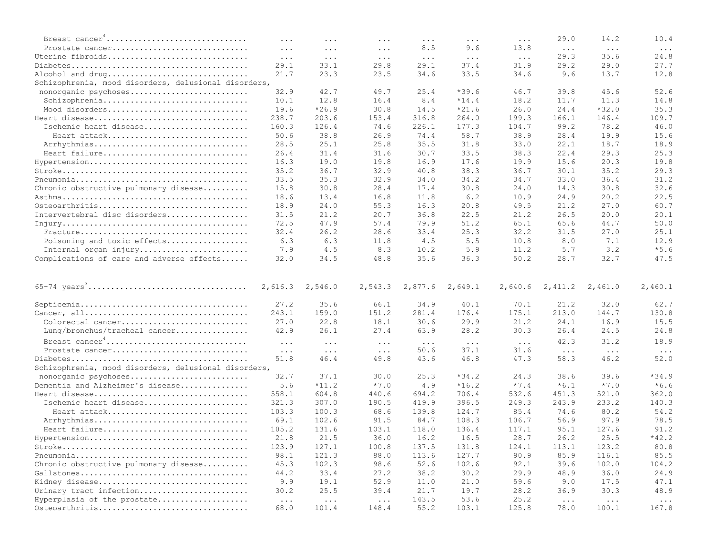| Breast cancer <sup>4</sup>                           | $\cdots$                     | $\cdots$                      | $\cdots$            | $\cdots$             | $\cdots$      | $\cdots$             | 29.0                         | 14.2                          | 10.4       |
|------------------------------------------------------|------------------------------|-------------------------------|---------------------|----------------------|---------------|----------------------|------------------------------|-------------------------------|------------|
| Prostate cancer                                      | $\cdots$                     | $\ddotsc$                     | $\cdots$            | 8.5                  | 9.6           | 13.8                 | $\sim$ $\sim$ $\sim$         | $\ldots$                      | $\ldots$ . |
| Uterine fibroids                                     | $\ddots$                     | $\ldots$ .                    | $\ldots$ .          | $\sim$ $\sim$ $\sim$ | $\ldots$ .    | $\ldots$ .           | 29.3                         | 35.6                          | 24.8       |
|                                                      | 29.1                         | 33.1                          | 29.8                | 29.1                 | 37.4          | 31.9                 | 29.2                         | 29.0                          | 27.7       |
| Alcohol and drug                                     | 21.7                         | 23.3                          | 23.5                | 34.6                 | 33.5          | 34.6                 | 9.6                          | 13.7                          | 12.8       |
| Schizophrenia, mood disorders, delusional disorders, |                              |                               |                     |                      |               |                      |                              |                               |            |
| nonorganic psychoses                                 | 32.9                         | 42.7                          | 49.7                | 25.4                 | $*39.6$       | 46.7                 | 39.8                         | 45.6                          | 52.6       |
| Schizophrenia                                        | 10.1                         | 12.8                          | 16.4                | 8.4                  | $*14.4$       | 18.2                 | 11.7                         | 11.3                          | 14.8       |
| Mood disorders                                       | 19.6                         | $*26.9$                       | 30.8                | 14.5                 | $*21.6$       | 26.0                 | 24.4                         | $*32.0$                       | 35.3       |
|                                                      | 238.7                        | 203.6                         | 153.4               | 316.8                | 264.0         | 199.3                | 166.1                        | 146.4                         | 109.7      |
| Ischemic heart disease                               | 160.3                        | 126.4                         | 74.6                | 226.1                | 177.3         | 104.7                | 99.2                         | 78.2                          | 46.0       |
| Heart attack                                         | 50.6                         | 38.8                          | 26.9                | 74.4                 | 58.7          | 38.9                 |                              | 19.9                          | 15.6       |
|                                                      |                              |                               | 25.8                | 35.5                 | 31.8          | 33.0                 | 28.4                         | 18.7                          | 18.9       |
| Arrhythmias                                          | 28.5                         | 25.1                          |                     |                      |               |                      | 22.1                         |                               |            |
| Heart failure                                        | 26.4                         | 31.4                          | 31.6                | 30.7                 | 33.5          | 38.3                 | 22.4                         | 29.3                          | 25.3       |
| Hypertension                                         | 16.3                         | 19.0                          | 19.8                | 16.9                 | 17.6          | 19.9                 | 15.6                         | 20.3                          | 19.8       |
|                                                      | 35.2                         | 36.7                          | 32.9                | 40.8                 | 38.3          | 36.7                 | 30.1                         | 35.2                          | 29.3       |
|                                                      | 33.5                         | 35.3                          | 32.9                | 34.0                 | 34.2          | 34.7                 | 33.0                         | 36.4                          | 31.2       |
| Chronic obstructive pulmonary disease                | 15.8                         | 30.8                          | 28.4                | 17.4                 | 30.8          | 24.0                 | 14.3                         | 30.8                          | 32.6       |
|                                                      | 18.6                         | 13.4                          | 16.8                | 11.8                 | 6.2           | 10.9                 | 24.9                         | 20.2                          | 22.5       |
| Osteoarthritis                                       | 18.9                         | 24.0                          | 55.3                | 16.3                 | 20.8          | 49.5                 | 21.2                         | 27.0                          | 60.7       |
| Intervertebral disc disorders                        | 31.5                         | 21.2                          | 20.7                | 36.8                 | 22.5          | 21.2                 | 26.5                         | 20.0                          | 20.1       |
|                                                      | 72.5                         | 47.9                          | 57.4                | 79.9                 | 51.2          | 65.1                 | 65.6                         | 44.7                          | 50.0       |
|                                                      | 32.4                         | 26.2                          | 28.6                | 33.4                 | 25.3          | 32.2                 | 31.5                         | 27.0                          | 25.1       |
| Poisoning and toxic effects                          | 6.3                          | 6.3                           | 11.8                | 4.5                  | 5.5           | 10.8                 | 8.0                          | 7.1                           | 12.9       |
| Internal organ injury                                | 7.9                          | 4.5                           | 8.3                 | 10.2                 | 5.9           | 11.2                 | 5.7                          | 3.2                           | $*5.6$     |
| Complications of care and adverse effects            | 32.0                         | 34.5                          | 48.8                | 35.6                 | 36.3          | 50.2                 | 28.7                         | 32.7                          | 47.5       |
|                                                      |                              |                               |                     |                      |               |                      |                              |                               |            |
|                                                      | 2,616.3                      | 2,546.0                       | 2,543.3             | 2,877.6              | 2,649.1       | 2,640.6              | 2,411.2                      | 2,461.0                       | 2,460.1    |
|                                                      | 27.2                         | 35.6                          | 66.1                | 34.9                 | 40.1          | 70.1                 | 21.2                         | 32.0                          | 62.7       |
|                                                      | 243.1                        | 159.0                         | 151.2               | 281.4                | 176.4         | 175.1                | 213.0                        | 144.7                         | 130.8      |
| Colorectal cancer                                    | 27.0                         | 22.8                          | 18.1                | 30.6                 | 29.9          | 21.2                 | 24.1                         | 16.9                          | 15.5       |
| Lung/bronchus/tracheal cancer                        | 42.9                         | 26.1                          | 27.4                | 63.9                 | 28.2          | 30.3                 | 26.4                         | 24.5                          | 24.8       |
|                                                      |                              |                               |                     |                      |               |                      | 42.3                         | 31.2                          | 18.9       |
| Breast cancer <sup>4</sup>                           | $\cdots$                     | $\ddots$ .                    | $\cdots$            | $\sim$ $\sim$ $\sim$ | $\ddots$ .    | $\sim$ $\sim$ $\sim$ |                              |                               |            |
| Prostate cancer                                      | $\ldots$ .                   | $\ldots$                      | $\ldots$ .          | 50.6                 | 37.1          | 31.6                 | $\sim$ $\sim$ $\sim$         | $\ldots$                      | $\ddots$   |
|                                                      | 51.8                         | 46.4                          | 49.8                | 43.6                 | 46.8          | 47.3                 | 58.3                         | 46.2                          | 52.0       |
| Schizophrenia, mood disorders, delusional disorders, |                              |                               |                     |                      |               |                      |                              |                               |            |
| nonorganic psychoses                                 | 32.7                         | 37.1                          | 30.0                | 25.3                 | $*34.2$       | 24.3                 | 38.6                         | 39.6                          | $*34.9$    |
| Dementia and Alzheimer's disease                     | 5.6                          | $*11.2$                       | $*7.0$              | 4.9                  | $*16.2$       | $*7.4$               | $*6.1$                       | $*7.0$                        | $*6.6$     |
|                                                      | 558.1                        | 604.8                         | 440.6               | 694.2                | 706.4         | 532.6                | 451.3                        | 521.0                         | 362.0      |
| Ischemic heart disease                               | 321.3                        | 307.0                         | 190.5               | 419.9                | 396.5         | 249.3                | 243.9                        | 233.2                         | 140.3      |
| Heart attack                                         | 103.3                        | 100.3                         | 68.6                | 139.8                | 124.7         | 85.4                 | 74.6                         | 80.2                          | 54.2       |
| Arrhythmias                                          | 69.1                         | 102.6                         | 91.5                | 84.7                 | 108.3         | 106.7                | 56.9                         | 97.9                          | 78.5       |
| Heart failure                                        | 105.2                        | 131.6                         | 103.1               | 118.0                | 136.4         | 117.1                | 95.1                         | 127.6                         | 91.2       |
|                                                      | 21.8                         | 21.5                          | 36.0                | 16.2                 | 16.5          | 28.7                 | 26.2                         | 25.5                          | $*42.2$    |
|                                                      | 123.9                        | 127.1                         | 100.8               | 137.5                | 131.8         | 124.1                | 113.1                        | 123.2                         | 80.8       |
|                                                      | 98.1                         | 121.3                         | 88.0                | 113.6                | 127.7         | 90.9                 | 85.9                         | 116.1                         | 85.5       |
| Chronic obstructive pulmonary disease                | 45.3                         | 102.3                         | 98.6                | 52.6                 | 102.6         | 92.1                 | 39.6                         | 102.0                         | 104.2      |
|                                                      | 44.2                         | 33.4                          | 27.2                | 38.2                 | 30.2          | 29.9                 | 48.9                         | 36.0                          | 24.9       |
| Kidney disease                                       | 9.9                          | 19.1                          | 52.9                | 11.0                 | 21.0          | 59.6                 | 9.0                          | 17.5                          | 47.1       |
| Urinary tract infection                              | 30.2                         | 25.5                          | 39.4                | 21.7                 | 19.7          | 28.2                 | 36.9                         | 30.3                          | 48.9       |
| Hyperplasia of the prostate<br>Osteoarthritis        | $\sim$ $\sim$ $\sim$<br>68.0 | $\sim$ $\sim$ $\sim$<br>101.4 | $\ldots$ .<br>148.4 | 143.5<br>55.2        | 53.6<br>103.1 | 25.2<br>125.8        | $\sim$ $\sim$ $\sim$<br>78.0 | $\sim$ $\sim$ $\sim$<br>100.1 | 167.8      |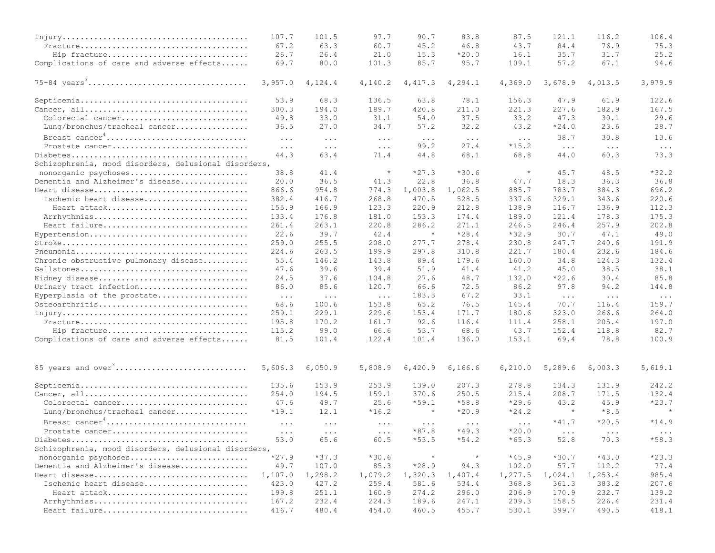|                                                      | 107.7                | 101.5      | 97.7       | 90.7                 | 83.8       | 87.5      | 121.1                | 116.2                | 106.4    |
|------------------------------------------------------|----------------------|------------|------------|----------------------|------------|-----------|----------------------|----------------------|----------|
|                                                      | 67.2                 | 63.3       | 60.7       | 45.2                 | 46.8       | 43.7      | 84.4                 | 76.9                 | 75.3     |
| Hip fracture                                         | 26.7                 | 26.4       | 21.0       | 15.3                 | $*20.0$    | 16.1      | 35.7                 | 31.7                 | 25.2     |
| Complications of care and adverse effects            | 69.7                 | 80.0       | 101.3      | 85.7                 | 95.7       | 109.1     | 57.2                 | 67.1                 | 94.6     |
|                                                      | 3,957.0              | 4,124.4    | 4,140.2    | 4,417.3              | 4, 294.1   | 4,369.0   | 3,678.9              | 4,013.5              | 3,979.9  |
|                                                      | 53.9                 | 68.3       | 136.5      | 63.8                 | 78.1       | 156.3     | 47.9                 | 61.9                 | 122.6    |
|                                                      | 300.3                | 194.0      | 189.7      | 420.8                | 211.0      | 221.3     | 227.6                | 182.9                | 167.5    |
| Colorectal cancer                                    | 49.8                 | 33.0       | 31.1       | 54.0                 | 37.5       | 33.2      | 47.3                 | 30.1                 | 29.6     |
| Lung/bronchus/tracheal cancer                        | 36.5                 | 27.0       | 34.7       | 57.2                 | 32.2       | 43.2      | $*24.0$              | 23.6                 | 28.7     |
| Breast cancer <sup>4</sup>                           | $\ddots$ .           | $\ddots$ . | $\ldots$ . | $\sim$ $\sim$ $\sim$ | $\ddots$   | $\ddotsc$ | 38.7                 | 30.8                 | 13.6     |
| Prostate cancer                                      | $\ddots$             | $\ddots$   | $\ddots$   | 99.2                 | 27.4       | $*15.2$   | $\ldots$ .           | $\sim$ $\sim$ $\sim$ | $\ldots$ |
|                                                      | 44.3                 | 63.4       | 71.4       | 44.8                 | 68.1       | 68.8      | 44.0                 | 60.3                 | 73.3     |
| Schizophrenia, mood disorders, delusional disorders, |                      |            |            |                      |            |           |                      |                      |          |
| nonorganic psychoses                                 | 38.8                 | 41.4       | $\star$    | $*27.3$              | $*30.6$    | $\star$   | 45.7                 | 48.5                 | $*32.2$  |
| Dementia and Alzheimer's disease                     | 20.0                 | 36.5       | 41.3       | 22.8                 | 36.8       | 47.7      | 18.3                 | 36.3                 | 36.8     |
|                                                      | 866.6                | 954.8      | 774.3      | 1,003.8              | 1,062.5    | 885.7     | 783.7                | 884.3                | 696.2    |
| Ischemic heart disease                               | 382.4                | 416.7      | 268.8      | 470.5                | 528.5      | 337.6     | 329.1                | 343.6                | 220.6    |
| Heart attack                                         | 155.9                | 166.9      | 123.3      | 220.9                | 212.8      | 138.9     | 116.7                | 136.9                | 112.3    |
| Arrhythmias                                          | 133.4                | 176.8      | 181.0      | 153.3                | 174.4      | 189.0     | 121.4                | 178.3                | 175.3    |
| Heart failure                                        | 261.4                | 263.1      | 220.8      | 286.2                | 271.1      | 246.5     | 246.4                | 257.9                | 202.8    |
| Hypertension                                         | 22.6                 | 39.7       | 42.4       | $\star$              | $*28.4$    | $*32.9$   | 30.7                 | 47.1                 | 49.0     |
|                                                      | 259.0                | 255.5      | 208.0      | 277.7                | 278.4      | 230.8     | 247.7                | 240.6                | 191.9    |
|                                                      | 224.6                | 263.5      | 199.9      | 297.8                | 310.8      | 221.7     | 180.4                | 232.6                | 184.6    |
| Chronic obstructive pulmonary disease                | 55.4                 | 146.2      | 143.8      | 89.4                 | 179.6      | 160.0     | 34.8                 | 124.3                | 132.4    |
|                                                      | 47.6                 | 39.6       | 39.4       | 51.9                 | 41.4       | 41.2      | 45.0                 | 38.5                 | 38.1     |
| Kidney disease                                       | 24.5                 | 37.6       | 104.8      | 27.6                 | 48.7       | 132.0     | $*22.6$              | 30.4                 | 85.8     |
| Urinary tract infection                              | 86.0                 | 85.6       | 120.7      | 66.6                 | 72.5       | 86.2      | 97.8                 | 94.2                 | 144.8    |
| Hyperplasia of the prostate                          | $\sim$ $\sim$ $\sim$ | $\ddots$   | $\ddots$   | 183.3                | 67.2       | 33.1      | $\sim$ $\sim$ $\sim$ | $\ddots$ .           | $\ddots$ |
| Osteoarthritis                                       | 68.6                 | 100.6      | 153.8      | 65.2                 | 76.5       | 145.4     | 70.7                 | 116.4                | 159.7    |
|                                                      | 259.1                | 229.1      | 229.6      | 153.4                | 171.7      | 180.6     | 323.0                | 266.6                | 264.0    |
|                                                      | 195.8                | 170.2      | 161.7      | 92.6                 | 116.4      | 111.4     | 258.1                | 205.4                | 197.0    |
| Hip fracture                                         | 115.2                | 99.0       | 66.6       | 53.7                 | 68.6       | 43.7      | 152.4                | 118.8                | 82.7     |
| Complications of care and adverse effects            | 81.5                 | 101.4      | 122.4      | 101.4                | 136.0      | 153.1     | 69.4                 | 78.8                 | 100.9    |
| 85 years and over <sup>3</sup>                       | 5,606.3              | 6,050.9    | 5,808.9    | 6,420.9              | 6, 166.6   | 6, 210.0  | 5,289.6              | 6,003.3              | 5,619.1  |
|                                                      | 135.6                | 153.9      | 253.9      | 139.0                | 207.3      | 278.8     | 134.3                | 131.9                | 242.2    |
|                                                      | 254.0                | 194.5      | 159.1      | 370.6                | 250.5      | 215.4     | 208.7                | 171.5                | 132.4    |
| Colorectal cancer                                    | 47.6                 | 49.7       | 25.6       | $*59.1$              | $*58.8$    | $*29.6$   | 43.2                 | 45.9                 | $*23.7$  |
|                                                      | $*19.1$              |            | $*16.2$    | $\star$              | $*20.9$    | $*24.2$   | $\star$              | $*8.5$               | $\star$  |
| Lung/bronchus/tracheal cancer                        |                      | 12.1       |            |                      |            |           |                      |                      |          |
| Breast cancer <sup>4</sup>                           | $\cdots$             | $\ddots$   | $\cdots$   | $\sim$ $\sim$ $\sim$ | $\ddots$ . | $\cdots$  | $*41.7$              | $*20.5$              | $*14.9$  |
| Prostate cancer                                      | $\cdots$             | $\ddots$   | $\ddots$   | $*87.8$              | $*49.3$    | $*20.0$   | $\cdots$             | $\ddots$             | $\ddots$ |
|                                                      | 53.0                 | 65.6       | 60.5       | $*53.5$              | $*54.2$    | $*65.3$   | 52.8                 | 70.3                 | $*58.3$  |
| Schizophrenia, mood disorders, delusional disorders, |                      |            |            |                      |            |           |                      |                      |          |
| nonorganic psychoses                                 | $*27.9$              | $*37.3$    | $*30.6$    | $\star$              | $\star$    | $*45.9$   | $*30.7$              | $*43.0$              | $*23.3$  |
| Dementia and Alzheimer's disease                     | 49.7                 | 107.0      | 85.3       | $*28.9$              | 94.3       | 102.0     | 57.7                 | 112.2                | 77.4     |
|                                                      | 1,107.0              | 1,298.2    | 1,079.2    | 1,320.3              | 1,407.4    | 1,277.5   | 1,024.1              | 1,253.4              | 985.4    |
| Ischemic heart disease                               | 423.0                | 427.2      | 259.4      | 581.6                | 534.4      | 368.8     | 361.3                | 383.2                | 207.6    |
| Heart attack                                         | 199.8                | 251.1      | 160.9      | 274.2                | 296.0      | 206.9     | 170.9                | 232.7                | 139.2    |
| Arrhythmias                                          | 167.2                | 232.4      | 224.3      | 189.6                | 247.1      | 209.3     | 158.5                | 226.4                | 231.4    |
| Heart failure                                        | 416.7                | 480.4      | 454.0      | 460.5                | 455.7      | 530.1     | 399.7                | 490.5                | 418.1    |